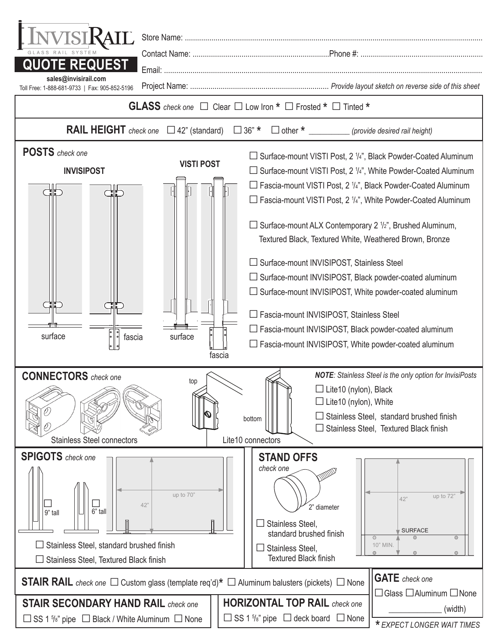